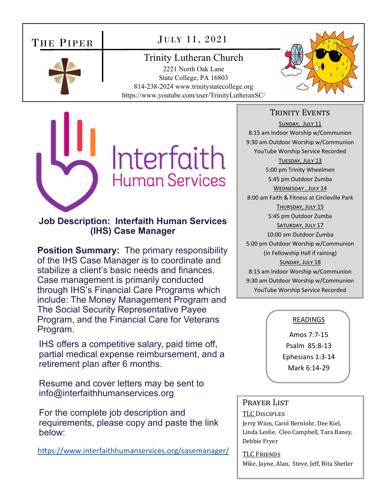# THE PIPER

# JULY 11, 2021

Trinity Lutheran Church 2221 North Oak Lane State College, PA 16803 814-238-2024 www.trinitystatecollege.org https://www.youtube.com/user/TrinityLutheranSC/





## **Job Description: Interfaith Human Services (IHS) Case Manager**

**Position Summary:** The primary responsibility of the IHS Case Manager is to coordinate and stabilize a client's basic needs and finances. Case management is primarily conducted through IHS's Financial Care Programs which include: The Money Management Program and The Social Security Representative Payee Program, and the Financial Care for Veterans Program.

IHS offers a competitive salary, paid time off, partial medical expense reimbursement, and a retirement plan after 6 months.

Resume and cover letters may be sent to info@interfaithhumanservices.org

For the complete job description and requirements, please copy and paste the link below:

https://www.interfaithhumanservices.org/casemanager/

## TRINITY EVENTS

SUNDAY, JULY 11 8:15 am Indoor Worship w/Communion 9:30 am Outdoor Worship w/Communion YouTube Worship Service Recorded TUESDAY, JULY 13 5:00 pm Trinity Wheelmen 5:45 pm Outdoor Zumba WEDNESDAY, JULY 14 8:00 am Faith & Fitness at Circleville Park THURSDAY, JULY 15 5:45 pm Outdoor Zumba SATURDAY, JULY 17 10:00 am Outdoor Zumba 5:00 pm Outdoor Worship w/Communion (in Fellowship Hall if raining) SUNDAY, JULY 18 8:15 am Indoor Worship w/Communion 9:30 am Outdoor Worship w/Communion YouTube Worship Service Recorded

### READINGS

Amos 7:7‐15 Psalm 85:8‐13 Ephesians 1:3‐14 Mark 6:14‐29

### PRAYER LIST

TLC DISCIPLES Jerry Wion, Carol Bernlohr, Dee Kiel, Linda Leslie, Cleo Campbell, Tara Baney, Debbie Fryer

#### TLC FRIENDS

Mike, Jayne, Alan, Steve, Jeff, Rita Shetler